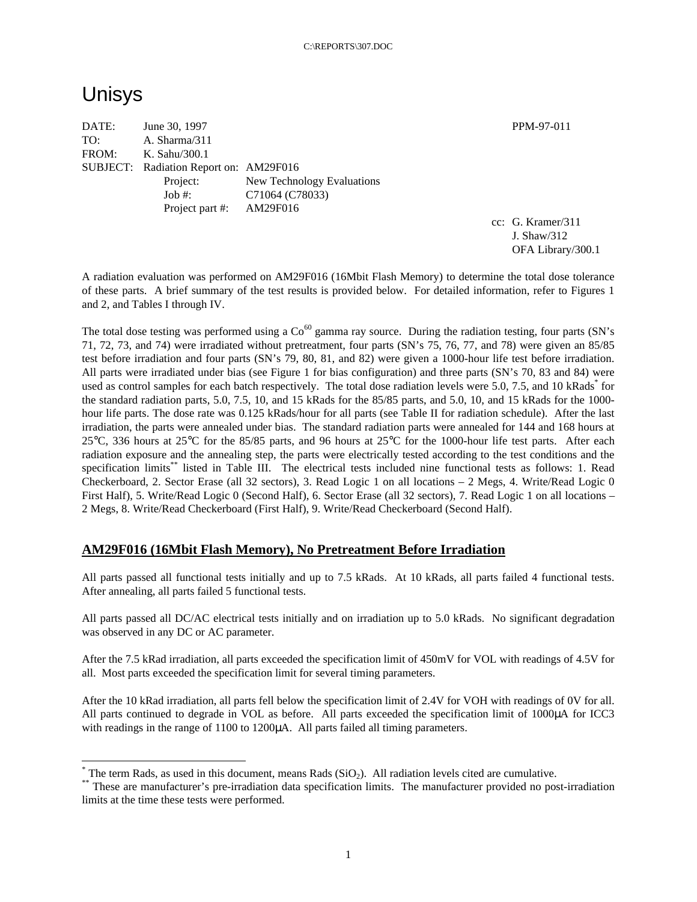# Unisys

 $\overline{a}$ 

DATE: June 30, 1997 PPM-97-011 TO: A. Sharma/311 FROM: K. Sahu/300.1 SUBJECT: Radiation Report on: AM29F016 Project: New Technology Evaluations Job #: C71064 (C78033) Project part #: AM29F016

cc: G. Kramer/311 J. Shaw/312 OFA Library/300.1

A radiation evaluation was performed on AM29F016 (16Mbit Flash Memory) to determine the total dose tolerance of these parts. A brief summary of the test results is provided below. For detailed information, refer to Figures 1 and 2, and Tables I through IV.

The total dose testing was performed using a  $Co^{60}$  gamma ray source. During the radiation testing, four parts (SN's 71, 72, 73, and 74) were irradiated without pretreatment, four parts (SN's 75, 76, 77, and 78) were given an 85/85 test before irradiation and four parts (SN's 79, 80, 81, and 82) were given a 1000-hour life test before irradiation. All parts were irradiated under bias (see Figure 1 for bias configuration) and three parts (SN's 70, 83 and 84) were used as control samples for each batch respectively. The total dose radiation levels were 5.0, 7.5, and 10 kRads\* for the standard radiation parts, 5.0, 7.5, 10, and 15 kRads for the 85/85 parts, and 5.0, 10, and 15 kRads for the 1000 hour life parts. The dose rate was 0.125 kRads/hour for all parts (see Table II for radiation schedule). After the last irradiation, the parts were annealed under bias. The standard radiation parts were annealed for 144 and 168 hours at 25°C, 336 hours at 25°C for the 85/85 parts, and 96 hours at 25°C for the 1000-hour life test parts. After each radiation exposure and the annealing step, the parts were electrically tested according to the test conditions and the specification limits<sup>\*\*</sup> listed in Table III. The electrical tests included nine functional tests as follows: 1. Read Checkerboard, 2. Sector Erase (all 32 sectors), 3. Read Logic 1 on all locations – 2 Megs, 4. Write/Read Logic 0 First Half), 5. Write/Read Logic 0 (Second Half), 6. Sector Erase (all 32 sectors), 7. Read Logic 1 on all locations – 2 Megs, 8. Write/Read Checkerboard (First Half), 9. Write/Read Checkerboard (Second Half).

## **AM29F016 (16Mbit Flash Memory), No Pretreatment Before Irradiation**

All parts passed all functional tests initially and up to 7.5 kRads. At 10 kRads, all parts failed 4 functional tests. After annealing, all parts failed 5 functional tests.

All parts passed all DC/AC electrical tests initially and on irradiation up to 5.0 kRads. No significant degradation was observed in any DC or AC parameter.

After the 7.5 kRad irradiation, all parts exceeded the specification limit of 450mV for VOL with readings of 4.5V for all. Most parts exceeded the specification limit for several timing parameters.

After the 10 kRad irradiation, all parts fell below the specification limit of 2.4V for VOH with readings of 0V for all. All parts continued to degrade in VOL as before. All parts exceeded the specification limit of 1000μA for ICC3 with readings in the range of 1100 to 1200μA. All parts failed all timing parameters.

 $*$  The term Rads, as used in this document, means Rads (SiO<sub>2</sub>). All radiation levels cited are cumulative.

<sup>\*\*</sup> These are manufacturer's pre-irradiation data specification limits. The manufacturer provided no post-irradiation limits at the time these tests were performed.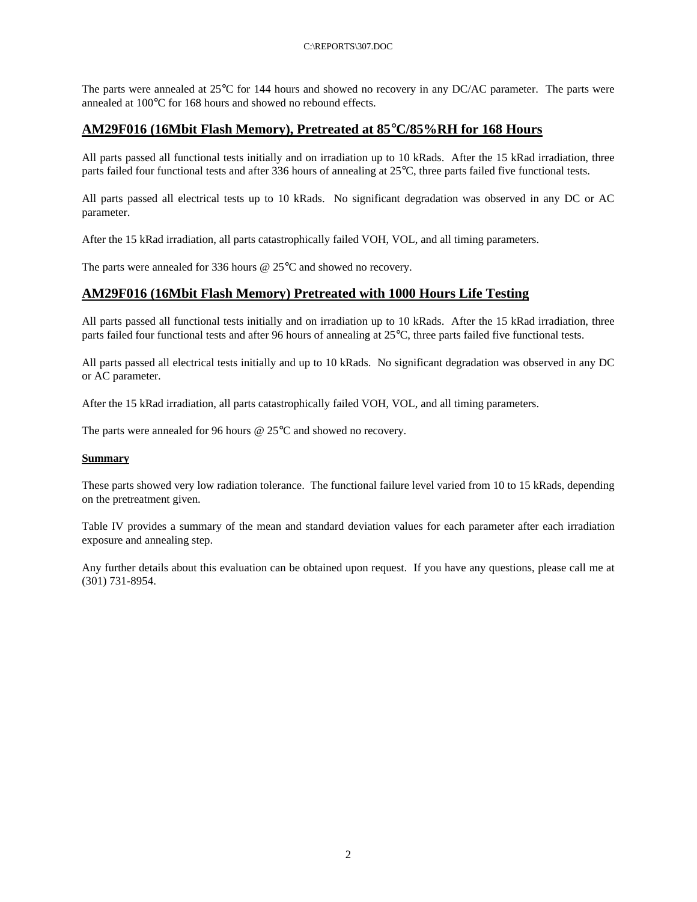The parts were annealed at 25°C for 144 hours and showed no recovery in any DC/AC parameter. The parts were annealed at 100°C for 168 hours and showed no rebound effects.

## **AM29F016 (16Mbit Flash Memory), Pretreated at 85°C/85%RH for 168 Hours**

All parts passed all functional tests initially and on irradiation up to 10 kRads. After the 15 kRad irradiation, three parts failed four functional tests and after 336 hours of annealing at 25°C, three parts failed five functional tests.

All parts passed all electrical tests up to 10 kRads. No significant degradation was observed in any DC or AC parameter.

After the 15 kRad irradiation, all parts catastrophically failed VOH, VOL, and all timing parameters.

The parts were annealed for 336 hours @ 25°C and showed no recovery.

### **AM29F016 (16Mbit Flash Memory) Pretreated with 1000 Hours Life Testing**

All parts passed all functional tests initially and on irradiation up to 10 kRads. After the 15 kRad irradiation, three parts failed four functional tests and after 96 hours of annealing at 25°C, three parts failed five functional tests.

All parts passed all electrical tests initially and up to 10 kRads. No significant degradation was observed in any DC or AC parameter.

After the 15 kRad irradiation, all parts catastrophically failed VOH, VOL, and all timing parameters.

The parts were annealed for 96 hours @ 25°C and showed no recovery.

#### **Summary**

These parts showed very low radiation tolerance. The functional failure level varied from 10 to 15 kRads, depending on the pretreatment given.

Table IV provides a summary of the mean and standard deviation values for each parameter after each irradiation exposure and annealing step.

Any further details about this evaluation can be obtained upon request. If you have any questions, please call me at (301) 731-8954.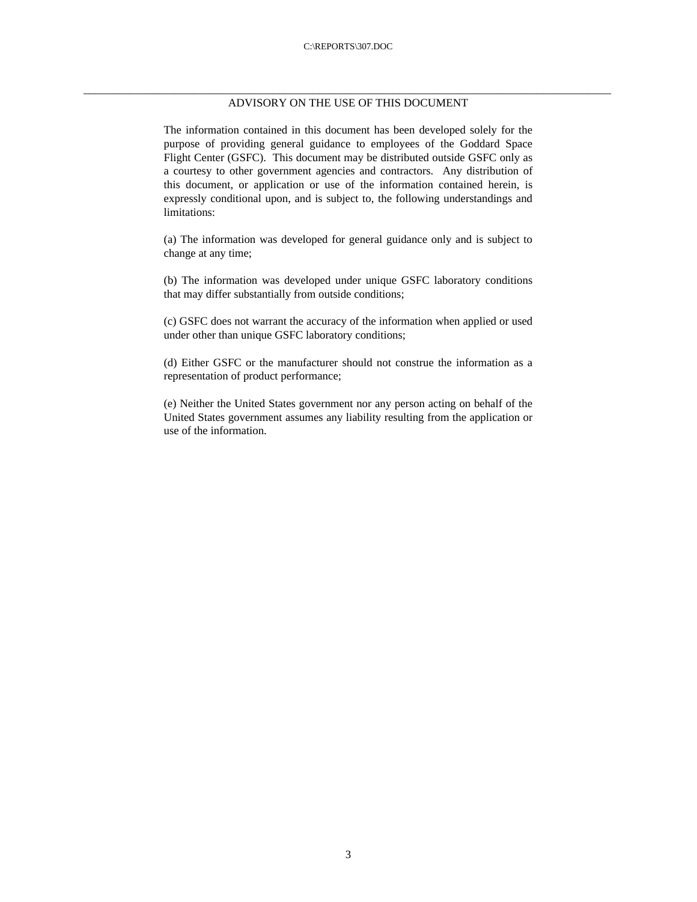#### \_\_\_\_\_\_\_\_\_\_\_\_\_\_\_\_\_\_\_\_\_\_\_\_\_\_\_\_\_\_\_\_\_\_\_\_\_\_\_\_\_\_\_\_\_\_\_\_\_\_\_\_\_\_\_\_\_\_\_\_\_\_\_\_\_\_\_\_\_\_\_\_\_\_\_\_\_\_\_\_\_\_\_\_\_\_\_\_\_\_\_\_ ADVISORY ON THE USE OF THIS DOCUMENT

The information contained in this document has been developed solely for the purpose of providing general guidance to employees of the Goddard Space Flight Center (GSFC). This document may be distributed outside GSFC only as a courtesy to other government agencies and contractors. Any distribution of this document, or application or use of the information contained herein, is expressly conditional upon, and is subject to, the following understandings and limitations:

(a) The information was developed for general guidance only and is subject to change at any time;

(b) The information was developed under unique GSFC laboratory conditions that may differ substantially from outside conditions;

(c) GSFC does not warrant the accuracy of the information when applied or used under other than unique GSFC laboratory conditions;

(d) Either GSFC or the manufacturer should not construe the information as a representation of product performance;

(e) Neither the United States government nor any person acting on behalf of the United States government assumes any liability resulting from the application or use of the information.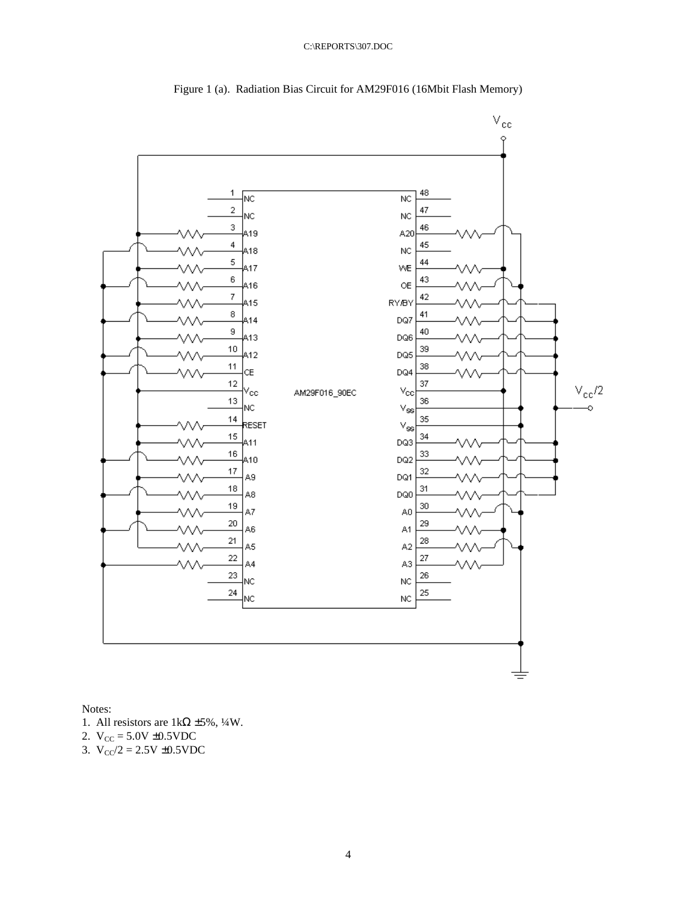

Figure 1 (a). Radiation Bias Circuit for AM29F016 (16Mbit Flash Memory)

Notes:

- 1. All resistors are  $1k\Omega \pm 5\%, \frac{1}{4}W$ .
- 2.  $V_{CC} = 5.0V \pm 0.5VDC$
- 3.  $V_{CC}/2 = 2.5V \pm 0.5VDC$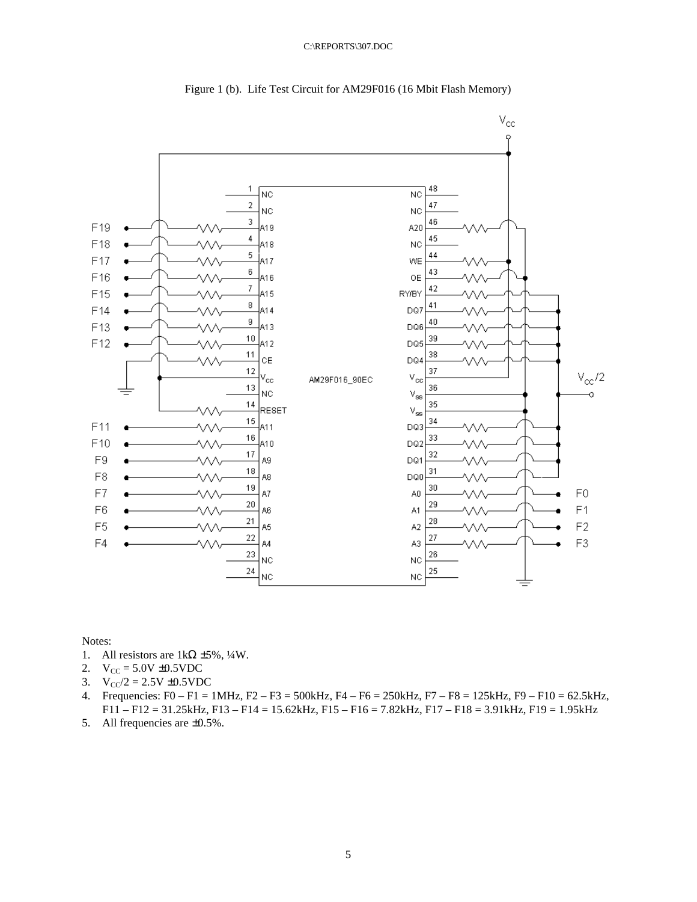



Notes:

- 1. All resistors are  $1k\Omega \pm 5\%, \frac{1}{4}W$ .
- 2.  $V_{CC} = 5.0V \pm 0.5VDC$
- 3.  $V_{CC}/2 = 2.5V \pm 0.5VDC$
- 4. Frequencies: F0 F1 = 1MHz, F2 F3 = 500kHz, F4 F6 = 250kHz, F7 F8 = 125kHz, F9 F10 = 62.5kHz, F11 – F12 = 31.25kHz, F13 – F14 = 15.62kHz, F15 – F16 = 7.82kHz, F17 – F18 = 3.91kHz, F19 = 1.95kHz
- 5. All frequencies are ±0.5%.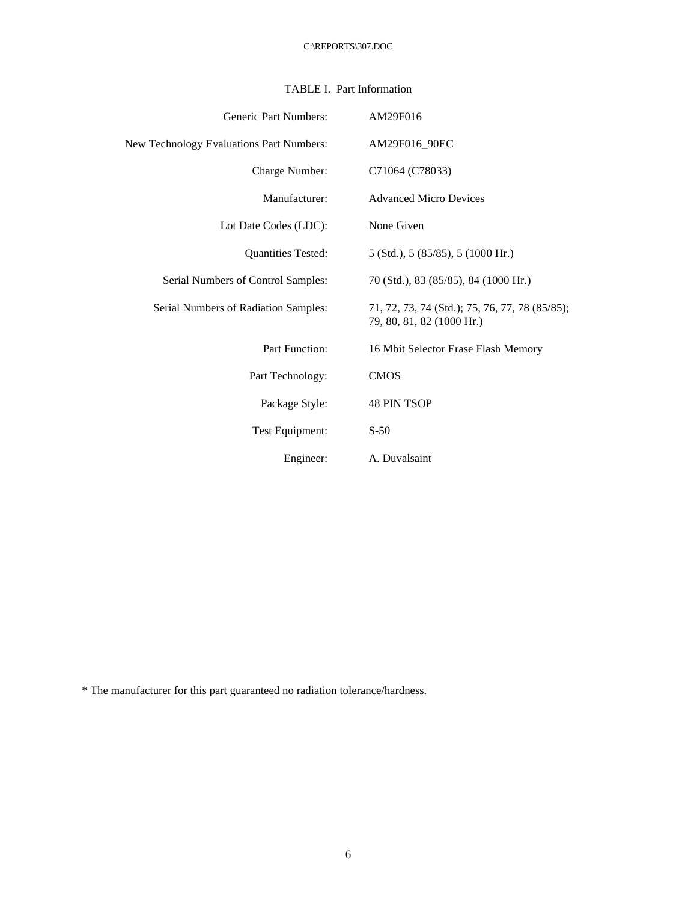## TABLE I. Part Information

| <b>Generic Part Numbers:</b>             | AM29F016                                                                    |
|------------------------------------------|-----------------------------------------------------------------------------|
| New Technology Evaluations Part Numbers: | AM29F016_90EC                                                               |
| Charge Number:                           | C71064 (C78033)                                                             |
| Manufacturer:                            | <b>Advanced Micro Devices</b>                                               |
| Lot Date Codes (LDC):                    | None Given                                                                  |
| <b>Quantities Tested:</b>                | $5$ (Std.), $5$ (85/85), $5$ (1000 Hr.)                                     |
| Serial Numbers of Control Samples:       | 70 (Std.), 83 (85/85), 84 (1000 Hr.)                                        |
| Serial Numbers of Radiation Samples:     | 71, 72, 73, 74 (Std.); 75, 76, 77, 78 (85/85);<br>79, 80, 81, 82 (1000 Hr.) |
| <b>Part Function:</b>                    | 16 Mbit Selector Erase Flash Memory                                         |
| Part Technology:                         | <b>CMOS</b>                                                                 |
| Package Style:                           | <b>48 PIN TSOP</b>                                                          |
| Test Equipment:                          | $S-50$                                                                      |
| Engineer:                                | A. Duvalsaint                                                               |

\* The manufacturer for this part guaranteed no radiation tolerance/hardness.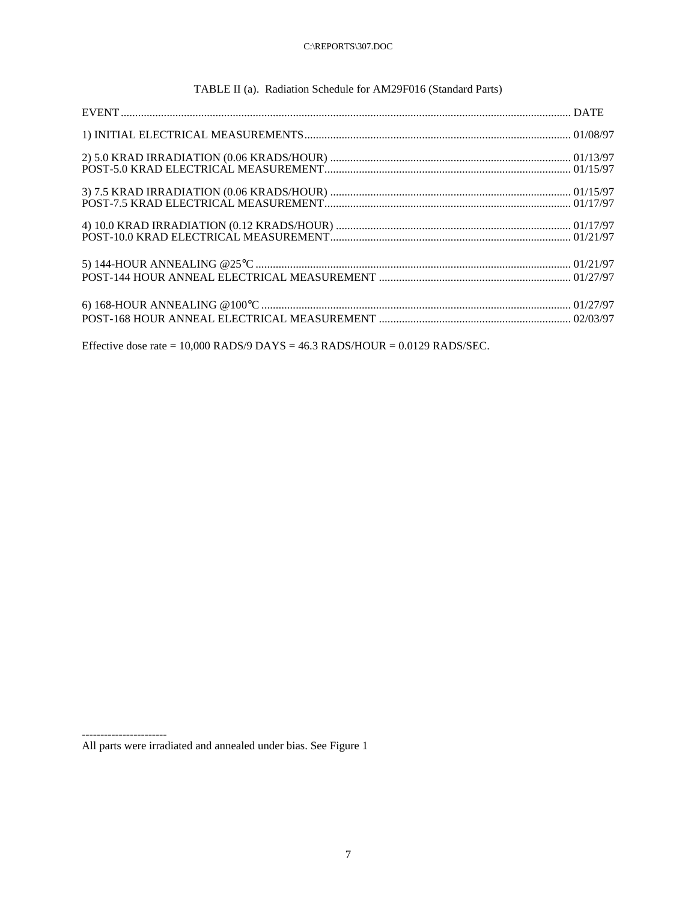|  | TABLE II (a). Radiation Schedule for AM29F016 (Standard Parts) |
|--|----------------------------------------------------------------|
|--|----------------------------------------------------------------|

Effective dose rate =  $10,000$  RADS/9 DAYS =  $46.3$  RADS/HOUR =  $0.0129$  RADS/SEC.

-----------------------

All parts were irradiated and annealed under bias. See Figure 1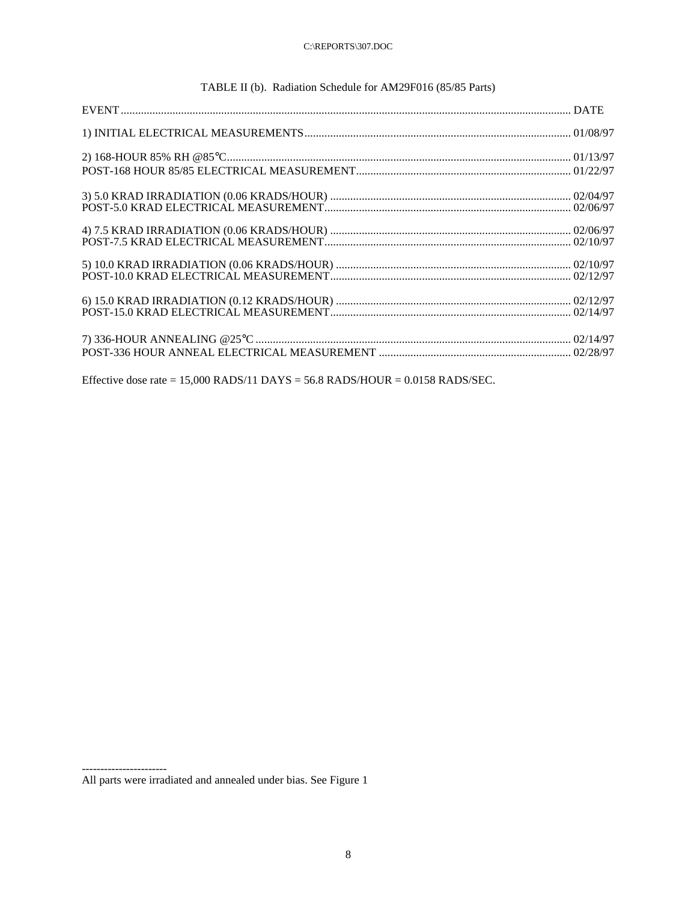| <b>EVENT</b> |  |  |
|--------------|--|--|
|              |  |  |

## TABLE II (b). Radiation Schedule for AM29F016 (85/85 Parts)

Effective dose rate =  $15,000$  RADS/11 DAYS =  $56.8$  RADS/HOUR =  $0.0158$  RADS/SEC.

-----------------------

All parts were irradiated and annealed under bias. See Figure 1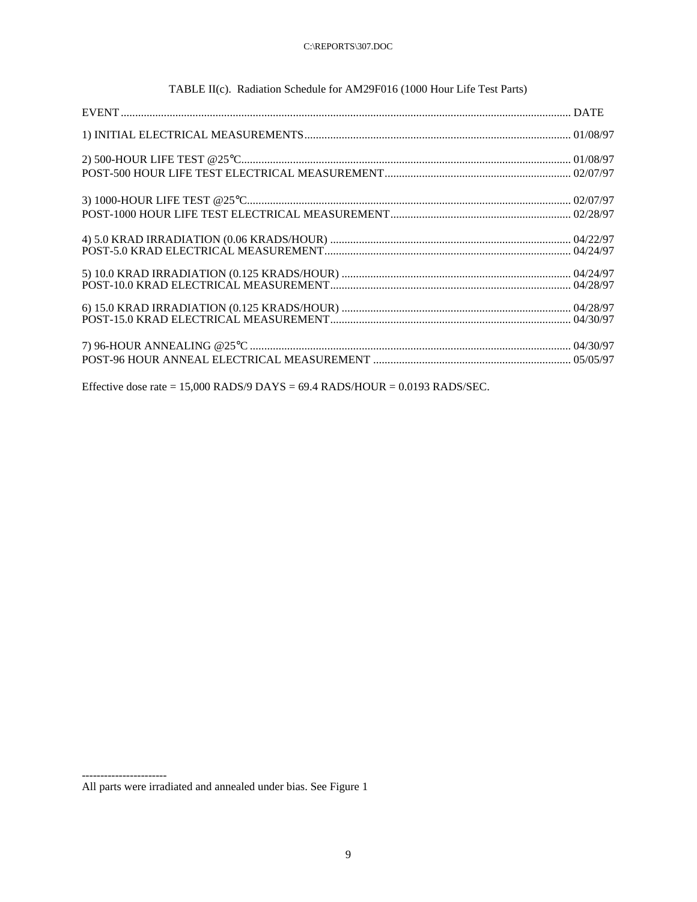## TABLE II(c). Radiation Schedule for AM29F016 (1000 Hour Life Test Parts)

Effective dose rate =  $15,000$  RADS/9 DAYS =  $69.4$  RADS/HOUR =  $0.0193$  RADS/SEC.

All parts were irradiated and annealed under bias. See Figure 1

-----------------------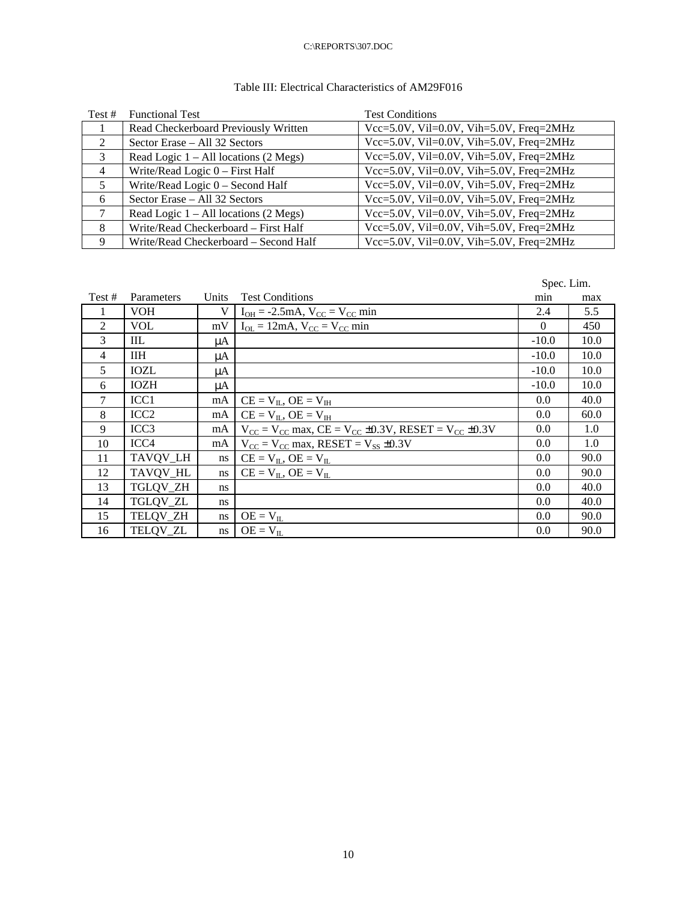## Table III: Electrical Characteristics of AM29F016

| Test $#$       | <b>Functional Test</b>                  | <b>Test Conditions</b>                  |
|----------------|-----------------------------------------|-----------------------------------------|
|                | Read Checkerboard Previously Written    | Vcc=5.0V, Vil=0.0V, Vih=5.0V, Freq=2MHz |
| $\mathfrak{D}$ | Sector Erase - All 32 Sectors           | Vcc=5.0V, Vil=0.0V, Vih=5.0V, Freq=2MHz |
| 3              | Read Logic $1 - All locations (2 Megs)$ | Vcc=5.0V, Vil=0.0V, Vih=5.0V, Freq=2MHz |
| $\overline{4}$ | Write/Read Logic $0$ – First Half       | Vcc=5.0V, Vil=0.0V, Vih=5.0V, Freq=2MHz |
| 5              | Write/Read Logic 0 - Second Half        | Vcc=5.0V, Vil=0.0V, Vih=5.0V, Freq=2MHz |
| 6              | Sector Erase - All 32 Sectors           | Vcc=5.0V, Vil=0.0V, Vih=5.0V, Freq=2MHz |
|                | Read Logic $1 - All locations (2 Megs)$ | Vcc=5.0V, Vil=0.0V, Vih=5.0V, Freq=2MHz |
| 8              | Write/Read Checkerboard - First Half    | Vcc=5.0V, Vil=0.0V, Vih=5.0V, Freq=2MHz |
| 9              | Write/Read Checkerboard - Second Half   | Vcc=5.0V, Vil=0.0V, Vih=5.0V, Freq=2MHz |

Spec. Lim.

| Test #         | Parameters       | Units | <b>Test Conditions</b>                                                    | min      | max  |
|----------------|------------------|-------|---------------------------------------------------------------------------|----------|------|
|                | <b>VOH</b>       | V     | $I_{OH} = -2.5mA$ , $V_{CC} = V_{CC} min$                                 | 2.4      | 5.5  |
| 2              | <b>VOL</b>       | mV    | $I_{OL} = 12mA$ , $V_{CC} = V_{CC}$ min                                   | $\theta$ | 450  |
| $\mathcal{E}$  | IIL              | μA    |                                                                           | $-10.0$  | 10.0 |
| $\overline{4}$ | <b>IIH</b>       | μA    |                                                                           | $-10.0$  | 10.0 |
| 5              | <b>IOZL</b>      | μA    |                                                                           | $-10.0$  | 10.0 |
| 6              | <b>IOZH</b>      | μA    |                                                                           | $-10.0$  | 10.0 |
| $\tau$         | ICC <sub>1</sub> | mA    | $CE = V_{IL}$ , $OE = V_{IH}$                                             | 0.0      | 40.0 |
| 8              | ICC <sub>2</sub> | mA    | $CE = V_{II}$ , $OE = V_{IH}$                                             | 0.0      | 60.0 |
| 9              | ICC <sub>3</sub> | mA    | $V_{CC} = V_{CC}$ max, $CE = V_{CC} \pm 0.3V$ , RESET = $V_{CC} \pm 0.3V$ | 0.0      | 1.0  |
| 10             | ICC <sub>4</sub> | mA    | $V_{\text{CC}} = V_{\text{CC}}$ max, RESET = $V_{\text{SS}} \pm 0.3 V$    | 0.0      | 1.0  |
| 11             | TAVQV_LH         | ns    | $CE = V_{IL}$ , $OE = V_{IL}$                                             | 0.0      | 90.0 |
| 12             | TAVQV HL         | ns    | $CE = V_{II}$ , $OE = V_{II}$                                             | 0.0      | 90.0 |
| 13             | TGLQV_ZH         | ns    |                                                                           | 0.0      | 40.0 |
| 14             | TGLQV_ZL         | ns    |                                                                           | 0.0      | 40.0 |
| 15             | TELQV_ZH         | ns    | $OE = V_{IL}$                                                             | 0.0      | 90.0 |
| 16             | TELQV_ZL         | ns    | $OE = V_{II}$                                                             | 0.0      | 90.0 |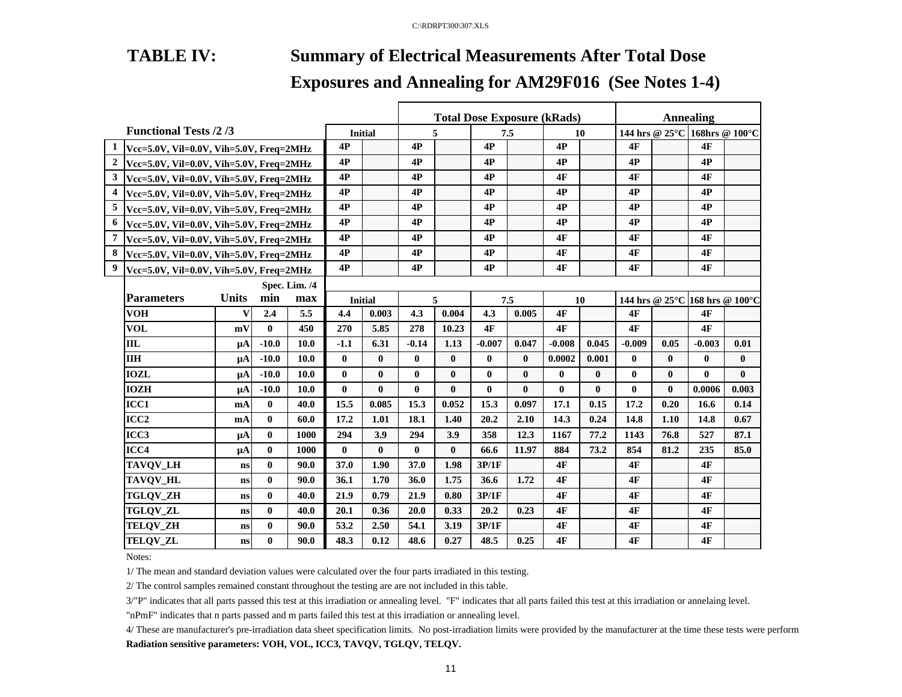# **TABLE IV: Summary of Electrical Measurements After Total Dose**

# **Exposures and Annealing for AM29F016 (See Notes 1-4)**

|                |                                                                                                                                                                                                                                                                                                                                                                                                                                                                                                                                                                                                                                                                                                                                                                                                                                                                                                                  |    |              |                |                |              |              |              |              |              | <b>Total Dose Exposure (kRads)</b> |              |              |                                | Annealing                     |              |
|----------------|------------------------------------------------------------------------------------------------------------------------------------------------------------------------------------------------------------------------------------------------------------------------------------------------------------------------------------------------------------------------------------------------------------------------------------------------------------------------------------------------------------------------------------------------------------------------------------------------------------------------------------------------------------------------------------------------------------------------------------------------------------------------------------------------------------------------------------------------------------------------------------------------------------------|----|--------------|----------------|----------------|--------------|--------------|--------------|--------------|--------------|------------------------------------|--------------|--------------|--------------------------------|-------------------------------|--------------|
|                |                                                                                                                                                                                                                                                                                                                                                                                                                                                                                                                                                                                                                                                                                                                                                                                                                                                                                                                  |    |              |                | <b>Initial</b> |              |              | 5            |              | 7.5          | 10                                 |              |              |                                | 144 hrs @ 25°C 168hrs @ 100°C |              |
| 1              |                                                                                                                                                                                                                                                                                                                                                                                                                                                                                                                                                                                                                                                                                                                                                                                                                                                                                                                  |    |              |                | 4P             |              | 4P           |              | 4P           |              | 4P                                 |              | 4F           |                                | 4F                            |              |
| $\mathbf{2}$   |                                                                                                                                                                                                                                                                                                                                                                                                                                                                                                                                                                                                                                                                                                                                                                                                                                                                                                                  |    |              |                | 4P             |              | 4P           |              | 4P           |              | 4P                                 |              | 4P           |                                | 4P                            |              |
| 3 <sup>1</sup> |                                                                                                                                                                                                                                                                                                                                                                                                                                                                                                                                                                                                                                                                                                                                                                                                                                                                                                                  |    |              |                | 4P             |              | 4P           |              | 4P           |              | 4F                                 |              | 4F           |                                | 4F                            |              |
| 4              |                                                                                                                                                                                                                                                                                                                                                                                                                                                                                                                                                                                                                                                                                                                                                                                                                                                                                                                  |    |              |                | 4P             |              | 4P           |              | 4P           |              | 4P                                 |              | 4P           |                                | 4P                            |              |
| 5              | <b>Functional Tests /2/3</b><br>Vcc=5.0V, Vil=0.0V, Vih=5.0V, Freq=2MHz<br>Vcc=5.0V, Vil=0.0V, Vih=5.0V, Freq=2MHz<br>Vcc=5.0V, Vil=0.0V, Vih=5.0V, Freq=2MHz<br>Vcc=5.0V, Vil=0.0V, Vih=5.0V, Freq=2MHz<br>Vcc=5.0V, Vil=0.0V, Vih=5.0V, Freq=2MHz<br>Vcc=5.0V, Vil=0.0V, Vih=5.0V, Freq=2MHz<br>Vcc=5.0V, Vil=0.0V, Vih=5.0V, Freq=2MHz<br>Vcc=5.0V, Vil=0.0V, Vih=5.0V, Freq=2MHz<br>Vcc=5.0V, Vil=0.0V, Vih=5.0V, Freq=2MHz<br>Spec. Lim. /4<br><b>Units</b><br><b>Parameters</b><br>min<br>max<br><b>VOH</b><br>5.5<br>2.4<br>v<br><b>VOL</b><br>450<br>mV<br>$\mathbf{0}$<br><b>IIL</b><br>$-10.0$<br>10.0<br>$\mu A$<br><b>IIH</b><br>$-10.0$<br>10.0<br>$\mathbf{\mu}$ A<br><b>IOZL</b><br>$-10.0$<br>10.0<br>μA<br><b>IOZH</b><br>$-10.0$<br>10.0<br>$\mu A$<br>ICC1<br>$\bf{0}$<br>40.0<br>mA<br>ICC <sub>2</sub><br>$\mathbf{0}$<br>60.0<br>mA<br>ICC <sub>3</sub><br>$\mathbf{0}$<br>1000<br>$\mu$ A |    | 4P           |                | 4P             |              | 4P           |              | 4P           |              | 4P                                 |              | 4P           |                                |                               |              |
| 6              | $\mathbf{0}$<br>$\mu A$<br>$\mathbf{0}$<br>ns<br>$\mathbf{0}$<br>ns<br>0<br>ns<br>$\mathbf{0}$<br>ns                                                                                                                                                                                                                                                                                                                                                                                                                                                                                                                                                                                                                                                                                                                                                                                                             |    |              | 4P             |                | 4P           |              | 4P           |              | 4P           |                                    | 4P           |              | 4P                             |                               |              |
| 7              |                                                                                                                                                                                                                                                                                                                                                                                                                                                                                                                                                                                                                                                                                                                                                                                                                                                                                                                  |    |              |                | 4P             |              | 4P           |              | 4P           |              | 4F                                 |              | 4F           |                                | <b>4F</b>                     |              |
| 8              |                                                                                                                                                                                                                                                                                                                                                                                                                                                                                                                                                                                                                                                                                                                                                                                                                                                                                                                  |    |              |                | 4P             |              | 4P           |              | 4P           |              | 4F                                 |              | 4F           |                                | 4F                            |              |
| 9              |                                                                                                                                                                                                                                                                                                                                                                                                                                                                                                                                                                                                                                                                                                                                                                                                                                                                                                                  |    | 4P           |                | 4P             |              | 4P           |              | 4F           |              | 4F                                 |              | <b>4F</b>    |                                |                               |              |
|                |                                                                                                                                                                                                                                                                                                                                                                                                                                                                                                                                                                                                                                                                                                                                                                                                                                                                                                                  |    |              |                |                |              |              |              |              |              |                                    |              |              |                                |                               |              |
|                |                                                                                                                                                                                                                                                                                                                                                                                                                                                                                                                                                                                                                                                                                                                                                                                                                                                                                                                  |    |              | <b>Initial</b> |                |              | 5            |              | 7.5          | 10           |                                    |              |              | 144 hrs @ 25°C 168 hrs @ 100°C |                               |              |
|                |                                                                                                                                                                                                                                                                                                                                                                                                                                                                                                                                                                                                                                                                                                                                                                                                                                                                                                                  |    |              |                | 4.4            | 0.003        | 4.3          | 0.004        | 4.3          | 0.005        | 4F                                 |              | 4F           |                                | 4F                            |              |
|                |                                                                                                                                                                                                                                                                                                                                                                                                                                                                                                                                                                                                                                                                                                                                                                                                                                                                                                                  |    |              |                | 270            | 5.85         | 278          | 10.23        | 4F           |              | 4F                                 |              | 4F           |                                | 4F                            |              |
|                |                                                                                                                                                                                                                                                                                                                                                                                                                                                                                                                                                                                                                                                                                                                                                                                                                                                                                                                  |    |              |                | $-1.1$         | 6.31         | $-0.14$      | 1.13         | $-0.007$     | 0.047        | $-0.008$                           | 0.045        | $-0.009$     | 0.05                           | $-0.003$                      | 0.01         |
|                |                                                                                                                                                                                                                                                                                                                                                                                                                                                                                                                                                                                                                                                                                                                                                                                                                                                                                                                  |    |              |                | $\bf{0}$       | $\mathbf{0}$ | $\bf{0}$     | $\mathbf{0}$ | $\mathbf{0}$ | $\mathbf{0}$ | 0.0002                             | 0.001        | $\mathbf{0}$ | $\bf{0}$                       | $\mathbf{0}$                  | $\mathbf{0}$ |
|                |                                                                                                                                                                                                                                                                                                                                                                                                                                                                                                                                                                                                                                                                                                                                                                                                                                                                                                                  |    |              |                | $\bf{0}$       | $\mathbf{0}$ | $\bf{0}$     | $\mathbf{0}$ | $\mathbf{0}$ | $\bf{0}$     | $\mathbf{0}$                       | $\bf{0}$     | $\bf{0}$     | $\bf{0}$                       | $\mathbf{0}$                  | $\mathbf{0}$ |
|                |                                                                                                                                                                                                                                                                                                                                                                                                                                                                                                                                                                                                                                                                                                                                                                                                                                                                                                                  |    |              |                | $\mathbf{0}$   | $\mathbf{0}$ | $\mathbf{0}$ | $\mathbf{0}$ | $\mathbf{0}$ | $\mathbf{0}$ | $\mathbf{0}$                       | $\mathbf{0}$ | $\mathbf{0}$ | $\bf{0}$                       | 0.0006                        | 0.003        |
|                |                                                                                                                                                                                                                                                                                                                                                                                                                                                                                                                                                                                                                                                                                                                                                                                                                                                                                                                  |    |              |                | 15.5           | 0.085        | 15.3         | 0.052        | 15.3         | 0.097        | 17.1                               | 0.15         | 17.2         | 0.20                           | 16.6                          | 0.14         |
|                |                                                                                                                                                                                                                                                                                                                                                                                                                                                                                                                                                                                                                                                                                                                                                                                                                                                                                                                  |    |              |                | 17.2           | 1.01         | 18.1         | 1.40         | 20.2         | 2.10         | 14.3                               | 0.24         | 14.8         | 1.10                           | 14.8                          | 0.67         |
|                |                                                                                                                                                                                                                                                                                                                                                                                                                                                                                                                                                                                                                                                                                                                                                                                                                                                                                                                  |    |              |                | 294            | 3.9          | 294          | 3.9          | 358          | 12.3         | 1167                               | 77.2         | 1143         | 76.8                           | 527                           | 87.1         |
|                | ICC4                                                                                                                                                                                                                                                                                                                                                                                                                                                                                                                                                                                                                                                                                                                                                                                                                                                                                                             |    |              | 1000           | $\mathbf{0}$   | $\mathbf{0}$ | $\mathbf{0}$ | $\mathbf{0}$ | 66.6         | 11.97        | 884                                | 73.2         | 854          | 81.2                           | 235                           | 85.0         |
|                | TAVQV_LH                                                                                                                                                                                                                                                                                                                                                                                                                                                                                                                                                                                                                                                                                                                                                                                                                                                                                                         |    |              | 90.0           | 37.0           | 1.90         | 37.0         | 1.98         | 3P/1F        |              | 4F                                 |              | 4F           |                                | 4F                            |              |
|                | TAVQV_HL                                                                                                                                                                                                                                                                                                                                                                                                                                                                                                                                                                                                                                                                                                                                                                                                                                                                                                         |    |              | 90.0           | 36.1           | 1.70         | 36.0         | 1.75         | 36.6         | 1.72         | 4F                                 |              | 4F           |                                | 4F                            |              |
|                | <b>TGLQV_ZH</b>                                                                                                                                                                                                                                                                                                                                                                                                                                                                                                                                                                                                                                                                                                                                                                                                                                                                                                  |    |              | 40.0           | 21.9           | 0.79         | 21.9         | 0.80         | 3P/1F        |              | 4F                                 |              | 4F           |                                | 4F                            |              |
|                | <b>TGLQV_ZL</b>                                                                                                                                                                                                                                                                                                                                                                                                                                                                                                                                                                                                                                                                                                                                                                                                                                                                                                  |    |              | 40.0           | 20.1           | 0.36         | 20.0         | 0.33         | 20.2         | 0.23         | 4F                                 |              | 4F           |                                | 4F                            |              |
|                | <b>TELOV ZH</b>                                                                                                                                                                                                                                                                                                                                                                                                                                                                                                                                                                                                                                                                                                                                                                                                                                                                                                  | ns | $\mathbf{0}$ | 90.0           | 53.2           | 2.50         | 54.1         | 3.19         | 3P/1F        |              | 4F                                 |              | 4F           |                                | 4F                            |              |
|                | <b>TELQV_ZL</b>                                                                                                                                                                                                                                                                                                                                                                                                                                                                                                                                                                                                                                                                                                                                                                                                                                                                                                  | ns | $\bf{0}$     | 90.0           | 48.3           | 0.12         | 48.6         | 0.27         | 48.5         | 0.25         | 4F                                 |              | 4F           |                                | 4F                            |              |

Notes:

1/ The mean and standard deviation values were calculated over the four parts irradiated in this testing.

2/ The control samples remained constant throughout the testing are are not included in this table.

3/"P" indicates that all parts passed this test at this irradiation or annealing level. "F" indicates that all parts failed this test at this irradiation or annelaing level.

"nPmF" indicates that n parts passed and m parts failed this test at this irradiation or annealing level.

4/ These are manufacturer's pre-irradiation data sheet specification limits. No post-irradiation limits were provided by the manufacturer at the time these tests were perform **Radiation sensitive parameters: VOH, VOL, ICC3, TAVQV, TGLQV, TELQV.**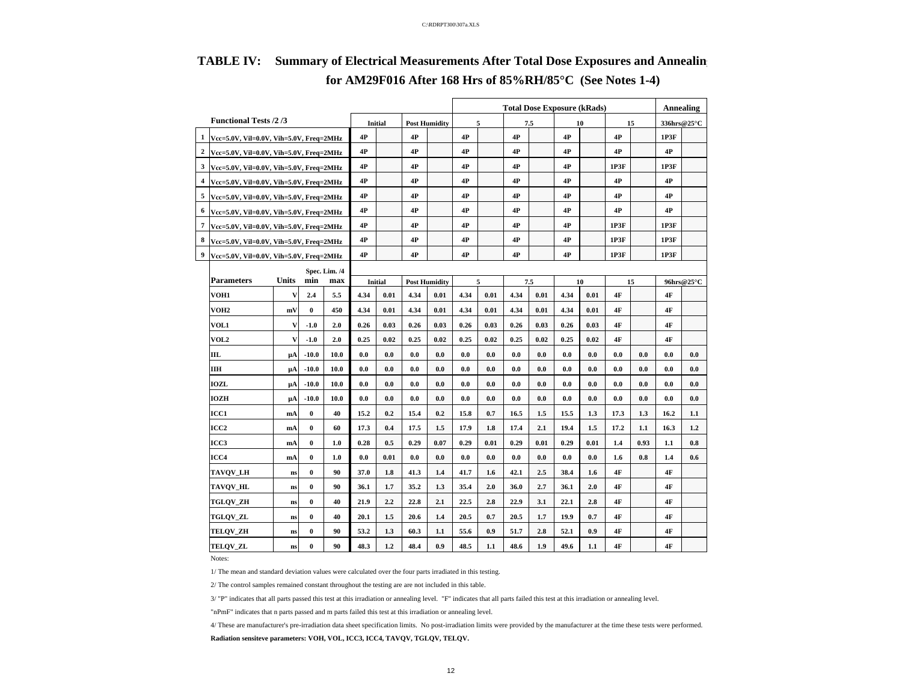|                                           |                                                                                                                                                                                                                                                                                                                                                                                                                                                                                                                                                                                                                                                                                                                                                                                                |    |          |      |      |                |      |                      | <b>Total Dose Exposure (kRads)</b> |      |      |      |      |      |      |      | <b>Annealing</b> |            |
|-------------------------------------------|------------------------------------------------------------------------------------------------------------------------------------------------------------------------------------------------------------------------------------------------------------------------------------------------------------------------------------------------------------------------------------------------------------------------------------------------------------------------------------------------------------------------------------------------------------------------------------------------------------------------------------------------------------------------------------------------------------------------------------------------------------------------------------------------|----|----------|------|------|----------------|------|----------------------|------------------------------------|------|------|------|------|------|------|------|------------------|------------|
|                                           |                                                                                                                                                                                                                                                                                                                                                                                                                                                                                                                                                                                                                                                                                                                                                                                                |    |          |      |      | Initial        |      | <b>Post Humidity</b> |                                    | 5    |      | 7.5  |      | 10   |      | 15   | 336hrs@25°C      |            |
|                                           | $1$ Vcc=5.0V, Vil=0.0V, Vih=5.0V, Freq=2MHz                                                                                                                                                                                                                                                                                                                                                                                                                                                                                                                                                                                                                                                                                                                                                    |    | 4P       |      | 4P   |                | 4P   |                      | 4P                                 |      | 4P   |      | 4P   |      | 1P3F |      |                  |            |
| 2                                         |                                                                                                                                                                                                                                                                                                                                                                                                                                                                                                                                                                                                                                                                                                                                                                                                |    |          |      | 4P   |                | 4P   |                      | 4P                                 |      | 4P   |      | 4P   |      | 4P   |      | 4P               |            |
|                                           |                                                                                                                                                                                                                                                                                                                                                                                                                                                                                                                                                                                                                                                                                                                                                                                                |    |          |      | 4P   |                | 4P   |                      | 4P                                 |      | 4P   |      | 4P   |      | 1P3F |      | 1P3F             |            |
| 4                                         |                                                                                                                                                                                                                                                                                                                                                                                                                                                                                                                                                                                                                                                                                                                                                                                                |    |          |      | 4P   |                | 4P   |                      | 4P                                 |      | 4P   |      | 4P   |      | 4P   |      | 4P               |            |
| 5                                         | <b>Functional Tests /2/3</b><br>$Vec=5.0V$ , Vil=0.0V, Vih=5.0V, Freq=2MHz<br>3 Vcc=5.0V, Vil=0.0V, Vih=5.0V, Freq=2MHz<br>Vcc=5.0V, Vil=0.0V, Vih=5.0V, Freq=2MHz<br>Vcc=5.0V, Vil=0.0V, Vih=5.0V, Freq=2MHz<br>7 Vcc=5.0V, Vil=0.0V, Vih=5.0V, Freq=2MHz<br>Vcc=5.0V, Vil=0.0V, Vih=5.0V, Freq=2MHz<br>Vcc=5.0V, Vil=0.0V, Vih=5.0V, Freq=2MHz<br>Spec. Lim. /4<br>Units<br><b>Parameters</b><br>min<br>VOH1<br>v<br>2.4<br>VOH <sub>2</sub><br>$\bf{0}$<br>mV<br><b>VOL1</b><br>V<br>$-1.0$<br>VOL2<br>v<br>$-1.0$<br>III.<br>$-10.0$<br>μA<br>ΠН<br>$-10.0$<br>μA<br><b>IOZL</b><br>$-10.0$<br>μA<br><b>IOZH</b><br>$-10.0$<br>μA<br>ICC1<br>$\bf{0}$<br>mA<br>$\bf{0}$<br>ICC <sub>2</sub><br>mA<br>ICC3<br>$\bf{0}$<br>mA<br>$\bf{0}$<br>ICC4<br>mA<br><b>TAVQV_LH</b><br>$\bf{0}$<br>ns |    |          |      | 4P   |                | 4P   |                      | 4P                                 |      | 4P   |      | 4P   |      | 4P   |      | 4P               |            |
| 6 Vcc=5.0V, Vil=0.0V, Vih=5.0V, Freq=2MHz |                                                                                                                                                                                                                                                                                                                                                                                                                                                                                                                                                                                                                                                                                                                                                                                                |    |          | 4P   |      | 4P             |      | 4P                   |                                    | 4P   |      | 4P   |      | 4P   |      | 4P   |                  |            |
|                                           |                                                                                                                                                                                                                                                                                                                                                                                                                                                                                                                                                                                                                                                                                                                                                                                                |    |          |      | 4P   |                | 4P   |                      | 4P                                 |      | 4P   |      | 4P   |      | 1P3F |      | 1P3F             |            |
| 8                                         |                                                                                                                                                                                                                                                                                                                                                                                                                                                                                                                                                                                                                                                                                                                                                                                                |    |          |      | 4P   |                | 4P   |                      | 4P                                 |      | 4P   |      | 4P   |      | 1P3F |      | 1P3F             |            |
|                                           |                                                                                                                                                                                                                                                                                                                                                                                                                                                                                                                                                                                                                                                                                                                                                                                                |    |          |      | 4P   |                | 4P   |                      | 4P                                 |      | 4P   |      | 4P   |      | 1P3F |      | 1P3F             |            |
|                                           |                                                                                                                                                                                                                                                                                                                                                                                                                                                                                                                                                                                                                                                                                                                                                                                                |    |          |      |      |                |      |                      |                                    |      |      |      |      |      |      |      |                  |            |
|                                           |                                                                                                                                                                                                                                                                                                                                                                                                                                                                                                                                                                                                                                                                                                                                                                                                |    |          | max  |      | <b>Initial</b> |      | <b>Post Humidity</b> |                                    | 5    |      | 7.5  |      | 10   |      | 15   |                  | 96hrs@25°C |
|                                           |                                                                                                                                                                                                                                                                                                                                                                                                                                                                                                                                                                                                                                                                                                                                                                                                |    |          | 5.5  | 4.34 | 0.01           | 4.34 | 0.01                 | 4.34                               | 0.01 | 4.34 | 0.01 | 4.34 | 0.01 | 4F   |      | 4F               |            |
|                                           |                                                                                                                                                                                                                                                                                                                                                                                                                                                                                                                                                                                                                                                                                                                                                                                                |    |          | 450  | 4.34 | 0.01           | 4.34 | 0.01                 | 4.34                               | 0.01 | 4.34 | 0.01 | 4.34 | 0.01 | 4F   |      | 4F               |            |
|                                           |                                                                                                                                                                                                                                                                                                                                                                                                                                                                                                                                                                                                                                                                                                                                                                                                |    |          | 2.0  | 0.26 | 0.03           | 0.26 | 0.03                 | 0.26                               | 0.03 | 0.26 | 0.03 | 0.26 | 0.03 | 4F   |      | 4F               |            |
|                                           |                                                                                                                                                                                                                                                                                                                                                                                                                                                                                                                                                                                                                                                                                                                                                                                                |    |          | 2.0  | 0.25 | 0.02           | 0.25 | 0.02                 | 0.25                               | 0.02 | 0.25 | 0.02 | 0.25 | 0.02 | 4F   |      | 4F               |            |
|                                           |                                                                                                                                                                                                                                                                                                                                                                                                                                                                                                                                                                                                                                                                                                                                                                                                |    |          | 10.0 | 0.0  | 0.0            | 0.0  | 0.0                  | 0.0                                | 0.0  | 0.0  | 0.0  | 0.0  | 0.0  | 0.0  | 0.0  | 0.0              | 0.0        |
|                                           |                                                                                                                                                                                                                                                                                                                                                                                                                                                                                                                                                                                                                                                                                                                                                                                                |    |          | 10.0 | 0.0  | 0.0            | 0.0  | 0.0                  | 0.0                                | 0.0  | 0.0  | 0.0  | 0.0  | 0.0  | 0.0  | 0.0  | 0.0              | 0.0        |
|                                           |                                                                                                                                                                                                                                                                                                                                                                                                                                                                                                                                                                                                                                                                                                                                                                                                |    |          | 10.0 | 0.0  | 0.0            | 0.0  | 0.0                  | 0.0                                | 0.0  | 0.0  | 0.0  | 0.0  | 0.0  | 0.0  | 0.0  | 0.0              | 0.0        |
|                                           |                                                                                                                                                                                                                                                                                                                                                                                                                                                                                                                                                                                                                                                                                                                                                                                                |    |          | 10.0 | 0.0  | 0.0            | 0.0  | 0.0                  | 0.0                                | 0.0  | 0.0  | 0.0  | 0.0  | 0.0  | 0.0  | 0.0  | 0.0              | 0.0        |
|                                           |                                                                                                                                                                                                                                                                                                                                                                                                                                                                                                                                                                                                                                                                                                                                                                                                |    |          | 40   | 15.2 | 0.2            | 15.4 | 0.2                  | 15.8                               | 0.7  | 16.5 | 1.5  | 15.5 | 1.3  | 17.3 | 1.3  | 16.2             | 1.1        |
|                                           |                                                                                                                                                                                                                                                                                                                                                                                                                                                                                                                                                                                                                                                                                                                                                                                                |    |          | 60   | 17.3 | 0.4            | 17.5 | 1.5                  | 17.9                               | 1.8  | 17.4 | 2.1  | 19.4 | 1.5  | 17.2 | 1.1  | 16.3             | 1.2        |
|                                           |                                                                                                                                                                                                                                                                                                                                                                                                                                                                                                                                                                                                                                                                                                                                                                                                |    |          | 1.0  | 0.28 | 0.5            | 0.29 | 0.07                 | 0.29                               | 0.01 | 0.29 | 0.01 | 0.29 | 0.01 | 1.4  | 0.93 | 1.1              | 0.8        |
|                                           |                                                                                                                                                                                                                                                                                                                                                                                                                                                                                                                                                                                                                                                                                                                                                                                                |    |          | 1.0  | 0.0  | 0.01           | 0.0  | 0.0                  | 0.0                                | 0.0  | 0.0  | 0.0  | 0.0  | 0.0  | 1.6  | 0.8  | 1.4              | 0.6        |
|                                           |                                                                                                                                                                                                                                                                                                                                                                                                                                                                                                                                                                                                                                                                                                                                                                                                |    |          | 90   | 37.0 | 1.8            | 41.3 | 1.4                  | 41.7                               | 1.6  | 42.1 | 2.5  | 38.4 | 1.6  | 4F   |      | 4F               |            |
|                                           | <b>TAVQV_HL</b>                                                                                                                                                                                                                                                                                                                                                                                                                                                                                                                                                                                                                                                                                                                                                                                | ns | $\bf{0}$ | 90   | 36.1 | 1.7            | 35.2 | 1.3                  | 35.4                               | 2.0  | 36.0 | 2.7  | 36.1 | 2.0  | 4F   |      | 4F               |            |
|                                           | <b>TGLQV_ZH</b>                                                                                                                                                                                                                                                                                                                                                                                                                                                                                                                                                                                                                                                                                                                                                                                | ns | $\bf{0}$ | 40   | 21.9 | 2.2            | 22.8 | 2.1                  | 22.5                               | 2.8  | 22.9 | 3.1  | 22.1 | 2.8  | 4F   |      | 4F               |            |
|                                           | <b>TGLQV_ZL</b>                                                                                                                                                                                                                                                                                                                                                                                                                                                                                                                                                                                                                                                                                                                                                                                | ns | $\bf{0}$ | 40   | 20.1 | 1.5            | 20.6 | 1.4                  | 20.5                               | 0.7  | 20.5 | 1.7  | 19.9 | 0.7  | 4F   |      | 4F               |            |
|                                           | <b>TELQV_ZH</b>                                                                                                                                                                                                                                                                                                                                                                                                                                                                                                                                                                                                                                                                                                                                                                                | ns | $\bf{0}$ | 90   | 53.2 | 1.3            | 60.3 | 1.1                  | 55.6                               | 0.9  | 51.7 | 2.8  | 52.1 | 0.9  | 4F   |      | 4F               |            |
|                                           | <b>TELQV_ZL</b>                                                                                                                                                                                                                                                                                                                                                                                                                                                                                                                                                                                                                                                                                                                                                                                | ns | $\bf{0}$ | 90   | 48.3 | 1.2            | 48.4 | 0.9                  | 48.5                               | 1.1  | 48.6 | 1.9  | 49.6 | 1.1  | 4F   |      | 4F               |            |

## **TABLE IV: Summary of Electrical Measurements After Total Dose Exposures and Annealing for AM29F016 After 168 Hrs of 85%RH/85°C (See Notes 1-4)**

Notes:

1/ The mean and standard deviation values were calculated over the four parts irradiated in this testing.

2/ The control samples remained constant throughout the testing are are not included in this table.

3/ "P" indicates that all parts passed this test at this irradiation or annealing level. "F" indicates that all parts failed this test at this irradiation or annealing level.

"nPmF" indicates that n parts passed and m parts failed this test at this irradiation or annealing level.

4/ These are manufacturer's pre-irradiation data sheet specification limits. No post-irradiation limits were provided by the manufacturer at the time these tests were performed.

**Radiation sensiteve parameters: VOH, VOL, ICC3, ICC4, TAVQV, TGLQV, TELQV.**